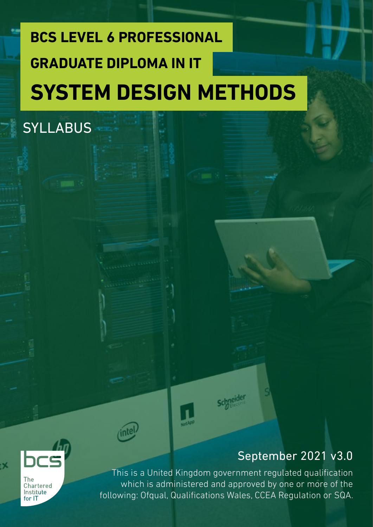# **BCS LEVEL 6 PROFESSIONAL SYSTEM DESIGN METHODS GRADUATE DIPLOMA IN IT**



**SYLLABUS** 

September 2021 v3.0

Chartered Institute  $for 1T$ 

-X

This is a United Kingdom government regulated qualification which is administered and approved by one or more of the following: Ofqual, Qualifications Wales, CCEA Regulation or SQA.

**schneider**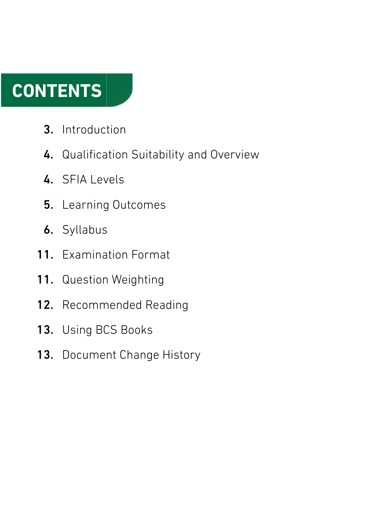# **CONTENTS**

- Introduction 3.
- 4. Qualification Suitability and Overview
- 4. SFIA Levels
- Learning Outcomes 5.
- **6.** Syllabus
- 11. Examination Format
- Question Weighting 11.
- Recommended Reading 12.
- Using BCS Books 13.
- Document Change History 13.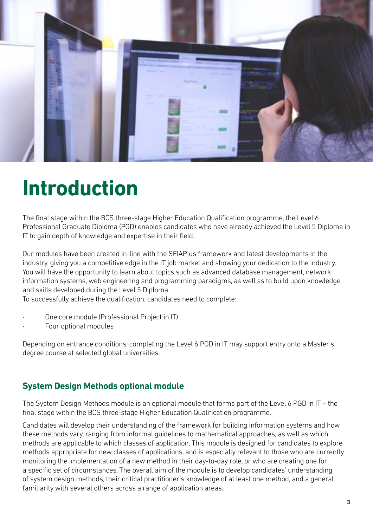

# **Introduction**

The final stage within the BCS three-stage Higher Education Qualification programme, the Level 6 Professional Graduate Diploma (PGD) enables candidates who have already achieved the Level 5 Diploma in IT to gain depth of knowledge and expertise in their field.

Our modules have been created in-line with the SFIAPlus framework and latest developments in the industry, giving you a competitive edge in the IT job market and showing your dedication to the industry. You will have the opportunity to learn about topics such as advanced database management, network information systems, web engineering and programming paradigms, as well as to build upon knowledge and skills developed during the Level 5 Diploma.

To successfully achieve the qualification, candidates need to complete:

- · One core module (Professional Project in IT)
- Four optional modules

Depending on entrance conditions, completing the Level 6 PGD in IT may support entry onto a Master's degree course at selected global universities.

## **System Design Methods optional module**

The System Design Methods module is an optional module that forms part of the Level 6 PGD in IT – the final stage within the BCS three-stage Higher Education Qualification programme.

Candidates will develop their understanding of the framework for building information systems and how these methods vary, ranging from informal guidelines to mathematical approaches, as well as which methods are applicable to which classes of application. This module is designed for candidates to explore methods appropriate for new classes of applications, and is especially relevant to those who are currently monitoring the implementation of a new method in their day-to-day role, or who are creating one for a specific set of circumstances. The overall aim of the module is to develop candidates' understanding of system design methods, their critical practitioner's knowledge of at least one method, and a general familiarity with several others across a range of application areas.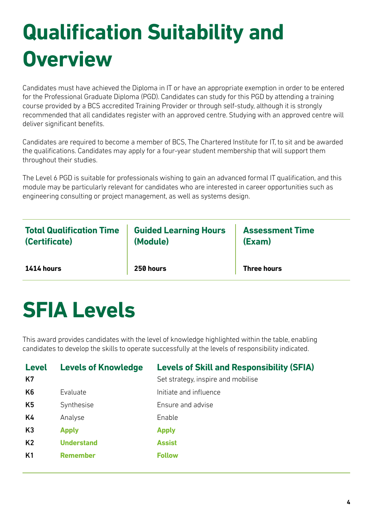# **Qualification Suitability and Overview**

Candidates must have achieved the Diploma in IT or have an appropriate exemption in order to be entered for the Professional Graduate Diploma (PGD). Candidates can study for this PGD by attending a training course provided by a BCS accredited Training Provider or through self-study, although it is strongly recommended that all candidates register with an approved centre. Studying with an approved centre will deliver significant benefits.

Candidates are required to become a member of BCS, The Chartered Institute for IT, to sit and be awarded the qualifications. Candidates may apply for a four-year student membership that will support them throughout their studies.

The Level 6 PGD is suitable for professionals wishing to gain an advanced formal IT qualification, and this module may be particularly relevant for candidates who are interested in career opportunities such as engineering consulting or project management, as well as systems design.

| <b>Total Qualification Time</b> | <b>Guided Learning Hours</b> | <b>Assessment Time</b> |
|---------------------------------|------------------------------|------------------------|
| (Certificate)                   | (Module)                     | (Exam)                 |
| $1414$ hours                    | 250 hours                    | <b>Three hours</b>     |

# **SFIA Levels**

This award provides candidates with the level of knowledge highlighted within the table, enabling candidates to develop the skills to operate successfully at the levels of responsibility indicated.

| <b>Level</b><br>K7 | <b>Levels of Knowledge</b> | <b>Levels of Skill and Responsibility (SFIA)</b><br>Set strategy, inspire and mobilise |
|--------------------|----------------------------|----------------------------------------------------------------------------------------|
| K <sub>6</sub>     | Evaluate                   | Initiate and influence                                                                 |
| K5                 | Synthesise                 | Ensure and advise                                                                      |
| K4                 | Analyse                    | Enable                                                                                 |
| K3                 | <b>Apply</b>               | <b>Apply</b>                                                                           |
| K <sub>2</sub>     | <b>Understand</b>          | <b>Assist</b>                                                                          |
| K <sub>1</sub>     | <b>Remember</b>            | <b>Follow</b>                                                                          |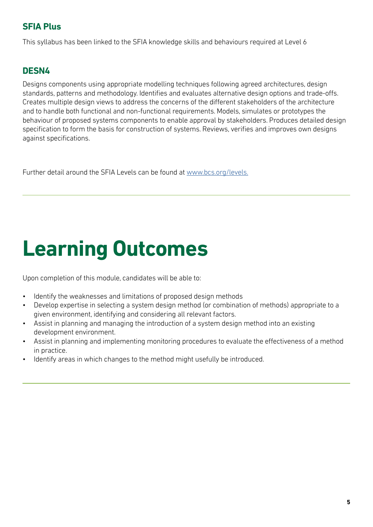## **SFIA Plus**

This syllabus has been linked to the SFIA knowledge skills and behaviours required at Level 6

## **DESN4**

Designs components using appropriate modelling techniques following agreed architectures, design standards, patterns and methodology. Identifies and evaluates alternative design options and trade-offs. Creates multiple design views to address the concerns of the different stakeholders of the architecture and to handle both functional and non-functional requirements. Models, simulates or prototypes the behaviour of proposed systems components to enable approval by stakeholders. Produces detailed design specification to form the basis for construction of systems. Reviews, verifies and improves own designs against specifications.

Further detail around the SFIA Levels can be found at [www.bcs.org/levels.](https://www.bcs.org/media/5165/sfia-levels-knowledge.pdf)

# **Learning Outcomes**

Upon completion of this module, candidates will be able to:

- Identify the weaknesses and limitations of proposed design methods
- Develop expertise in selecting a system design method (or combination of methods) appropriate to a given environment, identifying and considering all relevant factors.
- Assist in planning and managing the introduction of a system design method into an existing development environment.
- Assist in planning and implementing monitoring procedures to evaluate the effectiveness of a method in practice.
- Identify areas in which changes to the method might usefully be introduced.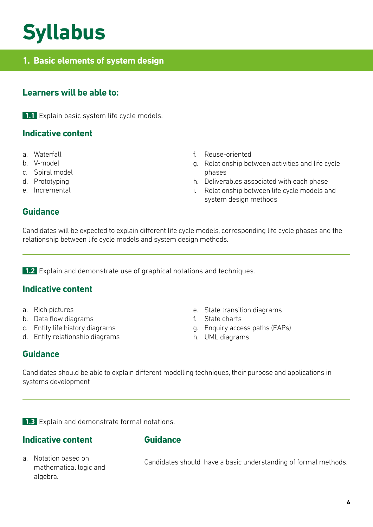# **Syllabus**

# **1. Basic elements of system design**

## **Learners will be able to:**

**1.1** Explain basic system life cycle models.

### **Indicative content**

- a. Waterfall
- b. V-model
- c. Spiral model
- d. Prototyping
- e. Incremental
- f. Reuse-oriented
- g. Relationship between activities and life cycle phases
- h. Deliverables associated with each phase
- i. Relationship between life cycle models and system design methods

### **Guidance**

Candidates will be expected to explain different life cycle models, corresponding life cycle phases and the relationship between life cycle models and system design methods.

**1.2** Explain and demonstrate use of graphical notations and techniques.

#### **Indicative content**

- a. Rich pictures
- b. Data flow diagrams
- c. Entity life history diagrams
- d. Entity relationship diagrams
- e. State transition diagrams
- f. State charts
- g. Enquiry access paths (EAPs)
- h. UML diagrams

#### **Guidance**

Candidates should be able to explain different modelling techniques, their purpose and applications in systems development

**1.3** Explain and demonstrate formal notations.

#### **Indicative content**

#### **Guidance**

a. Notation based on mathematical logic and algebra.

Candidates should have a basic understanding of formal methods.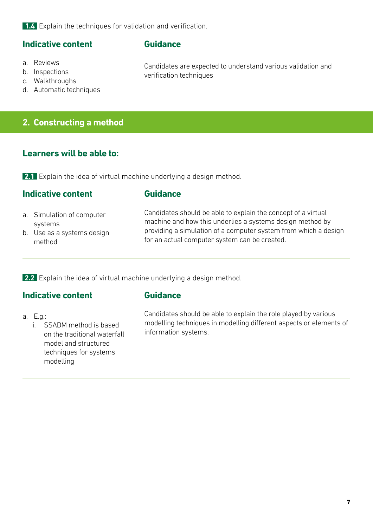**1.4** Explain the techniques for validation and verification.

#### **Indicative content**

#### **Guidance**

verification techniques

- a. Reviews
- b. Inspections
- c. Walkthroughs
- d. Automatic techniques

#### **2. Constructing a method**

## **Learners will be able to:**

**2.1** Explain the idea of virtual machine underlying a design method.

#### **Indicative content**

#### **Guidance**

- a. Simulation of computer systems
- b. Use as a systems design method

Candidates should be able to explain the concept of a virtual machine and how this underlies a systems design method by providing a simulation of a computer system from which a design for an actual computer system can be created.

Candidates are expected to understand various validation and

**2.2** Explain the idea of virtual machine underlying a design method.

#### **Indicative content**

#### **Guidance**

a. E.g.:

i. SSADM method is based on the traditional waterfall model and structured techniques for systems modelling

Candidates should be able to explain the role played by various modelling techniques in modelling different aspects or elements of information systems.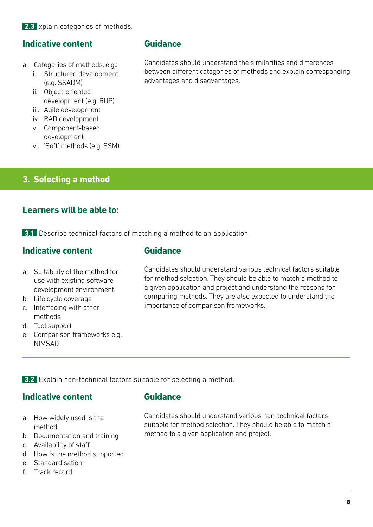**2.3** xplain categories of methods.

## **Indicative content**

- a. Categories of methods, e.g.:
	- i. Structured development (e.g. SSADM)
	- ii. Object-oriented development (e.g. RUP)
	- iii. Agile development
	- iv. RAD development
	- v. Component-based development
	- vi. 'Soft' methods (e.g. SSM)

# **3. Selecting a method**

### **Learners will be able to:**

**3.1** Describe technical factors of matching a method to an application.

### **Indicative content**

#### **Guidance**

- a. Suitability of the method for use with existing software development environment
- b. Life cycle coverage
- c. Interfacing with other methods
- d. Tool support
- e. Comparison frameworks e.g. NIMSAD

Candidates should understand various technical factors suitable for method selection. They should be able to match a method to a given application and project and understand the reasons for comparing methods. They are also expected to understand the importance of comparison frameworks.

**3.2** Explain non-technical factors suitable for selecting a method.

#### **Indicative content**

#### **Guidance**

- a. How widely used is the method
- b. Documentation and training
- c. Availability of staff
- d. How is the method supported
- e. Standardisation
- f. Track record

Candidates should understand various non-technical factors suitable for method selection. They should be able to match a method to a given application and project.

## **Guidance**

Candidates should understand the similarities and differences between different categories of methods and explain corresponding advantages and disadvantages.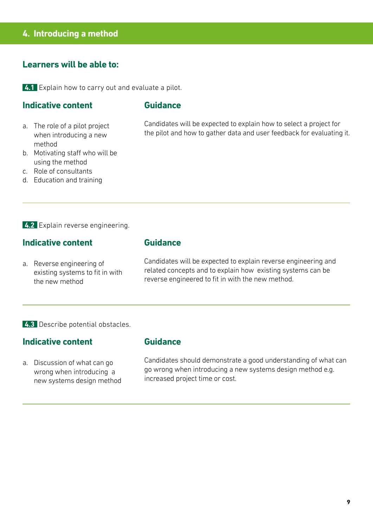### **4. Introducing a method**

#### **Learners will be able to:**

**4.1** Explain how to carry out and evaluate a pilot.

#### **Indicative content**

#### **Guidance**

a. The role of a pilot project when introducing a new method

b. Motivating staff who will be

using the method c. Role of consultants Candidates will be expected to explain how to select a project for the pilot and how to gather data and user feedback for evaluating it.

d. Education and training

**4.2** Explain reverse engineering.

## **Indicative content**

a. Reverse engineering of existing systems to fit in with the new method

#### **Guidance**

Candidates will be expected to explain reverse engineering and related concepts and to explain how existing systems can be reverse engineered to fit in with the new method.

**4.3** Describe potential obstacles.

#### **Indicative content**

a. Discussion of what can go wrong when introducing a new systems design method

#### **Guidance**

Candidates should demonstrate a good understanding of what can go wrong when introducing a new systems design method e.g. increased project time or cost.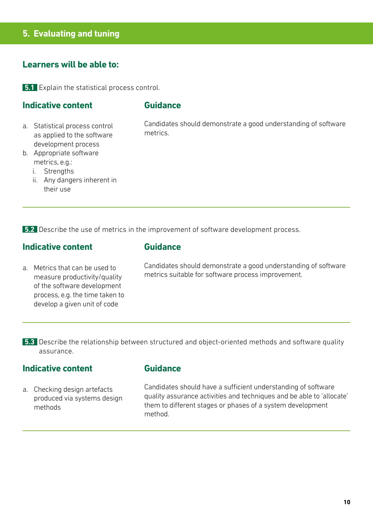## **5. Evaluating and tuning**

#### **Learners will be able to:**

**5.1** Explain the statistical process control.

#### **Indicative content**

#### **Guidance**

a. Statistical process control as applied to the software development process

b. Appropriate software metrics, e.g.:

i. Strengths

ii. Any dangers inherent in their use

Candidates should demonstrate a good understanding of software metrics.

**5.2** Describe the use of metrics in the improvement of software development process.

#### **Indicative content**

a. Metrics that can be used to measure productivity/quality of the software development process, e.g. the time taken to develop a given unit of code

#### **Guidance**

Candidates should demonstrate a good understanding of software metrics suitable for software process improvement.

Describe the relationship between structured and object-oriented methods and software quality **5.3** assurance.

#### **Indicative content**

a. Checking design artefacts produced via systems design methods

## **Guidance**

Candidates should have a sufficient understanding of software quality assurance activities and techniques and be able to 'allocate' them to different stages or phases of a system development method.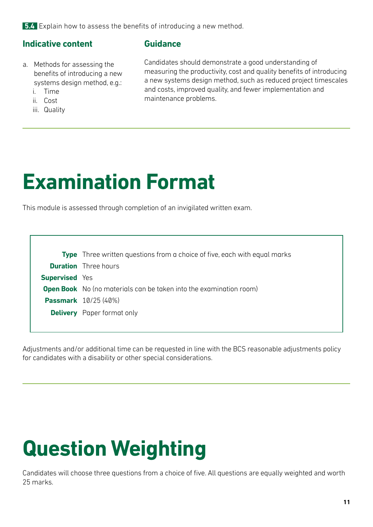**5.4** Explain how to assess the benefits of introducing a new method.

## **Indicative content**

### **Guidance**

- a. Methods for assessing the benefits of introducing a new systems design method, e.g.:
	- i. Time
	- ii. Cost
	- iii. Quality

Candidates should demonstrate a good understanding of measuring the productivity, cost and quality benefits of introducing a new systems design method, such as reduced project timescales and costs, improved quality, and fewer implementation and maintenance problems.

# **Examination Format**

This module is assessed through completion of an invigilated written exam.

|                       | <b>Type</b> Three written questions from a choice of five, each with equal marks |
|-----------------------|----------------------------------------------------------------------------------|
|                       | <b>Duration</b> Three hours                                                      |
| <b>Supervised</b> Yes |                                                                                  |
|                       | <b>Open Book</b> No (no materials can be taken into the examination room)        |
|                       | <b>Passmark</b> 10/25 (40%)                                                      |
|                       | <b>Delivery</b> Paper format only                                                |
|                       |                                                                                  |

Adjustments and/or additional time can be requested in line with the BCS reasonable adjustments policy for candidates with a disability or other special considerations.

# **Question Weighting**

Candidates will choose three questions from a choice of five. All questions are equally weighted and worth 25 marks.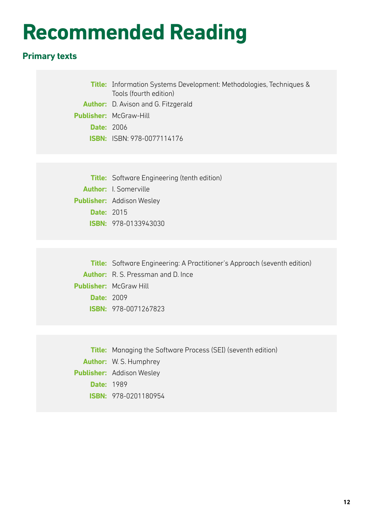# **Recommended Reading**

# **Primary texts**

|                   | <b>Title:</b> Information Systems Development: Methodologies, Techniques &<br>Tools (fourth edition) |
|-------------------|------------------------------------------------------------------------------------------------------|
|                   | <b>Author:</b> D. Avison and G. Fitzgerald                                                           |
|                   | <b>Publisher: McGraw-Hill</b>                                                                        |
| <b>Date: 2006</b> |                                                                                                      |
|                   | <b>ISBN: ISBN: 978-0077114176</b>                                                                    |
|                   |                                                                                                      |
|                   |                                                                                                      |
|                   | <b>Title:</b> Software Engineering (tenth edition)                                                   |
|                   | <b>Author:</b> I. Somerville                                                                         |
|                   | <b>Publisher:</b> Addison Wesley                                                                     |
| <b>Date: 2015</b> |                                                                                                      |

**ISBN:** 978-0133943030

**Title:** Software Engineering: A Practitioner's Approach (seventh edition) **Author:** R. S. Pressman and D. Ince **Publisher:** McGraw Hill **Date:** 2009 **ISBN:** 978-0071267823

**Title:** Managing the Software Process (SEI) (seventh edition) **Author:** W. S. Humphrey **Publisher:** Addison Wesley **Date:** 1989 **ISBN:** 978-0201180954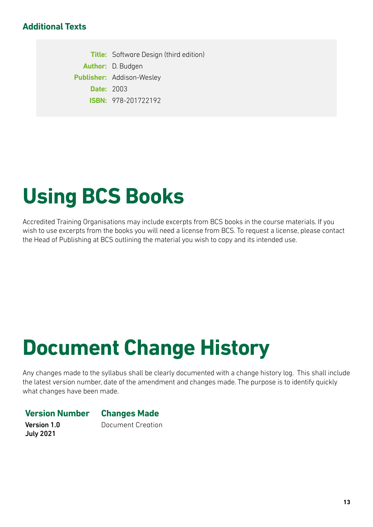### **Additional Texts**

**Title:** Software Design (third edition) **Author:** D. Budgen **Publisher:** Addison-Wesley **Date:** 2003 **ISBN:** 978-201722192

# **Using BCS Books**

Accredited Training Organisations may include excerpts from BCS books in the course materials. If you wish to use excerpts from the books you will need a license from BCS. To request a license, please contact the Head of Publishing at BCS outlining the material you wish to copy and its intended use.

# **Document Change History**

Any changes made to the syllabus shall be clearly documented with a change history log. This shall include the latest version number, date of the amendment and changes made. The purpose is to identify quickly what changes have been made.

#### **Version Number Changes Made**

Version 1.0 July 2021

Document Creation